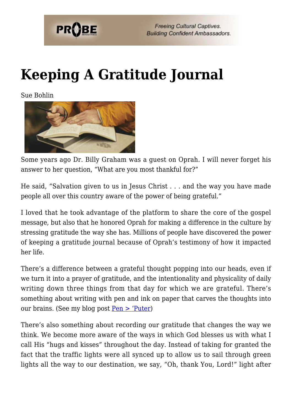

**Freeing Cultural Captives. Building Confident Ambassadors.** 

## **[Keeping A Gratitude Journal](https://probe.org/keeping-a-gratitude-journal/)**

Sue Bohlin



Some years ago Dr. Billy Graham was a guest on Oprah. I will never forget his answer to her question, "What are you most thankful for?"

He said, "Salvation given to us in Jesus Christ . . . and the way you have made people all over this country aware of the power of being grateful."

I loved that he took advantage of the platform to share the core of the gospel message, but also that he honored Oprah for making a difference in the culture by stressing gratitude the way she has. Millions of people have discovered the power of keeping a gratitude journal because of Oprah's testimony of how it impacted her life.

There's a difference between a grateful thought popping into our heads, even if we turn it into a prayer of gratitude, and the intentionality and physicality of daily writing down three things from that day for which we are grateful. There's something about writing with pen and ink on paper that carves the thoughts into our brains. (See my blog post  $Pen > 'Puter)$ 

There's also something about recording our gratitude that changes the way we think. We become more aware of the ways in which God blesses us with what I call His "hugs and kisses" throughout the day. Instead of taking for granted the fact that the traffic lights were all synced up to allow us to sail through green lights all the way to our destination, we say, "Oh, thank You, Lord!" light after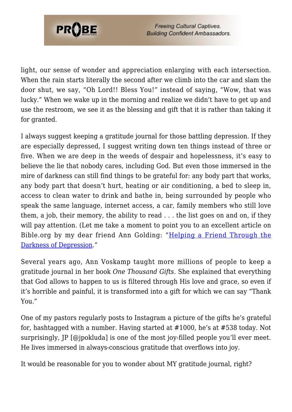

**Freeing Cultural Captives. Building Confident Ambassadors.** 

light, our sense of wonder and appreciation enlarging with each intersection. When the rain starts literally the second after we climb into the car and slam the door shut, we say, "Oh Lord!! Bless You!" instead of saying, "Wow, that was lucky." When we wake up in the morning and realize we didn't have to get up and use the restroom, we see it as the blessing and gift that it is rather than taking it for granted.

I always suggest keeping a gratitude journal for those battling depression. If they are especially depressed, I suggest writing down ten things instead of three or five. When we are deep in the weeds of despair and hopelessness, it's easy to believe the lie that nobody cares, including God. But even those immersed in the mire of darkness can still find things to be grateful for: any body part that works, any body part that doesn't hurt, heating or air conditioning, a bed to sleep in, access to clean water to drink and bathe in, being surrounded by people who speak the same language, internet access, a car, family members who still love them, a job, their memory, the ability to read . . . the list goes on and on, if they will pay attention. (Let me take a moment to point you to an excellent article on Bible.org by my dear friend Ann Golding: "[Helping a Friend Through the](https://bible.org/article/helping-friend-through-darkness-depression) [Darkness of Depression.](https://bible.org/article/helping-friend-through-darkness-depression)"

Several years ago, Ann Voskamp taught more millions of people to keep a gratitude journal in her book *One Thousand Gifts*. She explained that everything that God allows to happen to us is filtered through His love and grace, so even if it's horrible and painful, it is transformed into a gift for which we can say "Thank You."

One of my pastors regularly posts to Instagram a picture of the gifts he's grateful for, hashtagged with a number. Having started at #1000, he's at #538 today. Not surprisingly, JP [@jpokluda] is one of the most joy-filled people you'll ever meet. He lives immersed in always-conscious gratitude that overflows into joy.

It would be reasonable for you to wonder about MY gratitude journal, right?